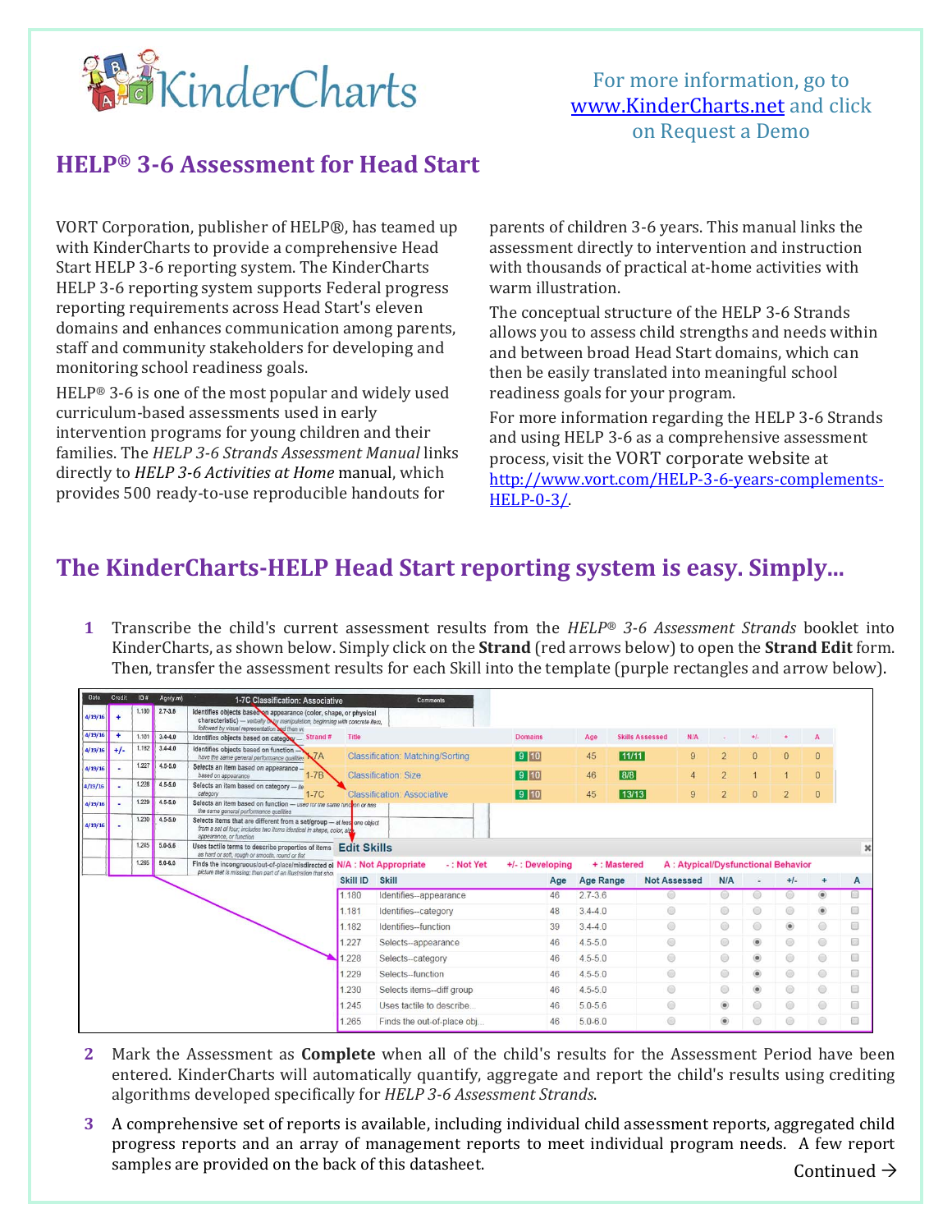

For more information, go to www.KinderCharts.net and click on Request a Demo

## **HELP® 3‐6 Assessment for Head Start**

VORT Corporation, publisher of HELP®, has teamed up with KinderCharts to provide a comprehensive Head Start HELP 3-6 reporting system. The KinderCharts HELP 3-6 reporting system supports Federal progress reporting requirements across Head Start's eleven domains and enhances communication among parents, staff and community stakeholders for developing and monitoring school readiness goals.

HELP® 3-6 is one of the most popular and widely used curriculum-based assessments used in early intervention programs for young children and their families. The *HELP 3‐6 Strands Assessment Manual* links directly to *HELP 3‐6 Activities at Home* manual, which provides 500 ready-to-use reproducible handouts for

parents of children 3-6 years. This manual links the assessment directly to intervention and instruction with thousands of practical at-home activities with warm illustration.

The conceptual structure of the HELP 3-6 Strands allows you to assess child strengths and needs within and between broad Head Start domains, which can then be easily translated into meaningful school readiness goals for your program.

For more information regarding the HELP 3-6 Strands and using HELP 3-6 as a comprehensive assessment process, visit the VORT corporate website at http://www.vort.com/HELP-3-6-years-complements-HELP-0-3/.

## **The KinderCharts‐HELP Head Start reporting system is easy. Simply...**

**1** Transcribe the child's current assessment results from the *HELP® 3‐6 Assessment Strands* booklet into KinderCharts, as shown below. Simply click on the **Strand** (red arrows below) to open the **Strand Edit** form. Then, transfer the assessment results for each Skill into the template (purple rectangles and arrow below).

| Date          | Credit               | $ID \#$ | Age(y.m)    | 1-7C Classification: Associative                                                                                                                                                                  |          | <b>Comments</b>                         |                 |                  |                        |                                    |                |                |                |                |                      |  |  |
|---------------|----------------------|---------|-------------|---------------------------------------------------------------------------------------------------------------------------------------------------------------------------------------------------|----------|-----------------------------------------|-----------------|------------------|------------------------|------------------------------------|----------------|----------------|----------------|----------------|----------------------|--|--|
| 4/19/16       | $\ddot{\phantom{1}}$ | 1.180   | $2.7 - 3.6$ | Identifies objects based on appearance (color, shape, or physical<br>characteristic) - verbally only manipulation, beginning with concrete item,<br>followed by visual representation and then ve |          |                                         |                 |                  |                        |                                    |                |                |                |                |                      |  |  |
| 4/19/16       | $\ddot{}$            | 1.181   | $3,4 - 4,0$ | Strand#<br>Identifies objects based on category-                                                                                                                                                  | Title    |                                         | <b>Domains</b>  | Age              | <b>Skills Assessed</b> | N/A                                | ٠              | $+1$           |                | $\mathbf{A}$   |                      |  |  |
| $4/19/16$ +/- |                      | 1.182   | $3.4 - 4.0$ | Identifies objects based on function<br>$\mathsf{K}7\mathsf{A}$<br>have the same general performance qualities                                                                                    |          | <b>Classification: Matching/Sorting</b> | 9 10            | 45               | 11/11                  | 9                                  | $\overline{2}$ | $\mathbf{0}$   | $\mathbf{0}$   | $\overline{0}$ |                      |  |  |
| 4/19/16       |                      | 1.227   | $4.5 - 5.0$ | Selects an item based on appearance -<br>$1-7B$<br>based on appearance                                                                                                                            |          | <b>Classification: Size</b>             | 9 10            | 46               | 8/8                    | $\overline{4}$                     | $\overline{2}$ |                |                | $\mathbf{0}$   |                      |  |  |
| 4/19/16       |                      | 1.228   | $4.5 - 5.0$ | Selects an item based on category - ite<br>category<br>$1-7C$                                                                                                                                     |          | <b>Classification: Associative</b>      | 9 10            | 45               | 13/13                  | 9                                  | $\overline{2}$ | $\overline{0}$ | $\overline{2}$ | $\overline{0}$ |                      |  |  |
| 4/19/16       |                      | 1.229   | $4.5 - 5.0$ | Selects an item based on function - used for the same function or has<br>the same general performance qualities                                                                                   |          |                                         |                 |                  |                        |                                    |                |                |                |                |                      |  |  |
| 4/19/16       |                      | 1.230   | $4.5 - 5.0$ | Selects items that are different from a set/group - at leas one object<br>from a set of four; includes two items identical in shape, color, size<br>appearance, or function                       |          |                                         |                 |                  |                        |                                    |                |                |                |                |                      |  |  |
|               |                      | 1.245   | $5.0 - 5.6$ | Uses tactile terms to describe properties of items Edit Skills<br>as hard or soft, rough or smooth, round or flat                                                                                 |          |                                         |                 |                  |                        |                                    |                |                |                |                | $\pmb{\times}$       |  |  |
|               |                      | 1.265   | $5.0 - 6.0$ | Finds the incongruous/out-of-place/misdirected of N/A : Not Appropriate<br>picture that is missing; then part of an illustration that show                                                        |          | -: Not Yet                              | +/-: Developing |                  | +: Mastered            | A: Atypical/Dysfunctional Behavior |                |                |                |                |                      |  |  |
|               |                      |         |             |                                                                                                                                                                                                   | Skill ID | <b>Skill</b>                            | Age             | <b>Age Range</b> | <b>Not Assessed</b>    |                                    | N/A            |                | $+1-$          |                | A                    |  |  |
|               |                      |         |             |                                                                                                                                                                                                   | 1.180    | Identifies-appearance                   | 46              | $2.7 - 3.6$      |                        |                                    | ⊚              | $\circ$        |                | $\circledast$  |                      |  |  |
|               |                      |         |             |                                                                                                                                                                                                   | 1.181    | Identifies-category                     | 48              | $3.4 - 4.0$      | 0                      |                                    | $^{\circ}$     | $\circ$        | $^{\circ}$     | $^{\circ}$     | Ω                    |  |  |
|               |                      |         |             |                                                                                                                                                                                                   | 1.182    | Identifies-function                     | 39              | $3.4 - 4.0$      | 0                      |                                    | $^{\circ}$     | $\odot$        | ۰              | $\odot$        | 8                    |  |  |
|               |                      |         |             |                                                                                                                                                                                                   | .227     | Selects--appearance                     | 46              | $4.5 - 5.0$      | ◎                      |                                    | ⊚              | $^{\circ}$     | ◉              | $\circledcirc$ | ▩                    |  |  |
|               |                      |         |             |                                                                                                                                                                                                   | 228      | Selects--category                       | 46              | $4.5 - 5.0$      | $\circledcirc$         |                                    | ◉              | $\circledcirc$ | $\circledcirc$ | $\odot$        | O                    |  |  |
|               |                      |         |             |                                                                                                                                                                                                   | .229     | Selects-function                        | 46              | $4.5 - 5.0$      | $\circledcirc$         |                                    | 0              | $\circledcirc$ | $^{\circ}$     | $\circ$        | 國                    |  |  |
|               |                      |         |             |                                                                                                                                                                                                   | 230      | Selects items-diff group                | 46              | $4.5 - 5.0$      | ⊜                      |                                    | ◉              | $\circledcirc$ | $\circledcirc$ | $\odot$        | 8                    |  |  |
|               |                      |         |             |                                                                                                                                                                                                   | 1.245    | Uses tactile to describe                | 46              | $5.0 - 5.6$      | $^{\circ}$             |                                    | $\circledcirc$ | $\odot$        | 0              | $\odot$        | $\qquad \qquad \Box$ |  |  |
|               |                      |         |             |                                                                                                                                                                                                   | 1.265    | Finds the out-of-place obj              | 46              | $5.0 - 6.0$      | 0                      |                                    | $^{\circ}$     | ⊜              | ◎              | $\odot$        | $\circ$              |  |  |

- **2** Mark the Assessment as **Complete** when all of the child's results for the Assessment Period have been entered. KinderCharts will automatically quantify, aggregate and report the child's results using crediting algorithms developed specifically for *HELP 3‐6 Assessment Strands*.
- Continued  $\rightarrow$ **3** A comprehensive set of reports is available, including individual child assessment reports, aggregated child progress reports and an array of management reports to meet individual program needs. A few report samples are provided on the back of this datasheet.